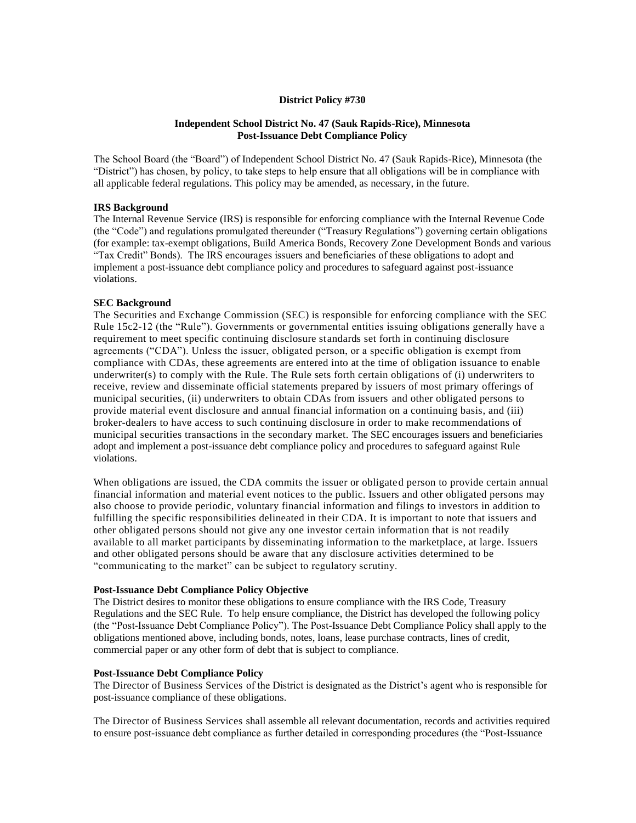# **District Policy #730**

# **Independent School District No. 47 (Sauk Rapids-Rice), Minnesota Post-Issuance Debt Compliance Policy**

The School Board (the "Board") of Independent School District No. 47 (Sauk Rapids-Rice), Minnesota (the "District") has chosen, by policy, to take steps to help ensure that all obligations will be in compliance with all applicable federal regulations. This policy may be amended, as necessary, in the future.

# **IRS Background**

The Internal Revenue Service (IRS) is responsible for enforcing compliance with the Internal Revenue Code (the "Code") and regulations promulgated thereunder ("Treasury Regulations") governing certain obligations (for example: tax-exempt obligations, Build America Bonds, Recovery Zone Development Bonds and various "Tax Credit" Bonds). The IRS encourages issuers and beneficiaries of these obligations to adopt and implement a post-issuance debt compliance policy and procedures to safeguard against post-issuance violations.

### **SEC Background**

The Securities and Exchange Commission (SEC) is responsible for enforcing compliance with the SEC Rule 15c2-12 (the "Rule"). Governments or governmental entities issuing obligations generally have a requirement to meet specific continuing disclosure standards set forth in continuing disclosure agreements ("CDA"). Unless the issuer, obligated person, or a specific obligation is exempt from compliance with CDAs, these agreements are entered into at the time of obligation issuance to enable underwriter(s) to comply with the Rule. The Rule sets forth certain obligations of (i) underwriters to receive, review and disseminate official statements prepared by issuers of most primary offerings of municipal securities, (ii) underwriters to obtain CDAs from issuers and other obligated persons to provide material event disclosure and annual financial information on a continuing basis, and (iii) broker-dealers to have access to such continuing disclosure in order to make recommendations of municipal securities transactions in the secondary market. The SEC encourages issuers and beneficiaries adopt and implement a post-issuance debt compliance policy and procedures to safeguard against Rule violations.

When obligations are issued, the CDA commits the issuer or obligated person to provide certain annual financial information and material event notices to the public. Issuers and other obligated persons may also choose to provide periodic, voluntary financial information and filings to investors in addition to fulfilling the specific responsibilities delineated in their CDA. It is important to note that issuers and other obligated persons should not give any one investor certain information that is not readily available to all market participants by disseminating information to the marketplace, at large. Issuers and other obligated persons should be aware that any disclosure activities determined to be "communicating to the market" can be subject to regulatory scrutiny.

#### **Post-Issuance Debt Compliance Policy Objective**

The District desires to monitor these obligations to ensure compliance with the IRS Code, Treasury Regulations and the SEC Rule. To help ensure compliance, the District has developed the following policy (the "Post-Issuance Debt Compliance Policy"). The Post-Issuance Debt Compliance Policy shall apply to the obligations mentioned above, including bonds, notes, loans, lease purchase contracts, lines of credit, commercial paper or any other form of debt that is subject to compliance.

### **Post-Issuance Debt Compliance Policy**

The Director of Business Services of the District is designated as the District's agent who is responsible for post-issuance compliance of these obligations.

The Director of Business Services shall assemble all relevant documentation, records and activities required to ensure post-issuance debt compliance as further detailed in corresponding procedures (the "Post-Issuance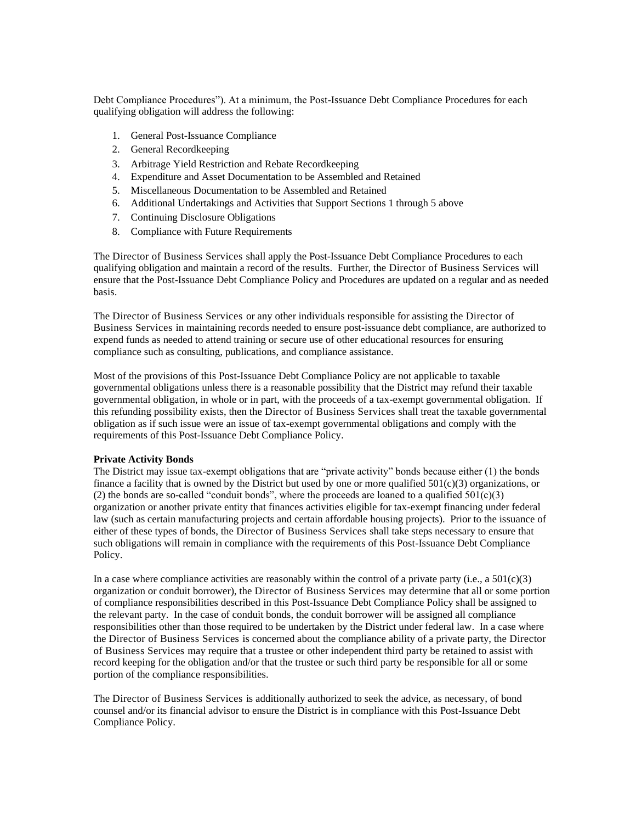Debt Compliance Procedures"). At a minimum, the Post-Issuance Debt Compliance Procedures for each qualifying obligation will address the following:

- 1. General Post-Issuance Compliance
- 2. General Recordkeeping
- 3. Arbitrage Yield Restriction and Rebate Recordkeeping
- 4. Expenditure and Asset Documentation to be Assembled and Retained
- 5. Miscellaneous Documentation to be Assembled and Retained
- 6. Additional Undertakings and Activities that Support Sections 1 through 5 above
- 7. Continuing Disclosure Obligations
- 8. Compliance with Future Requirements

The Director of Business Services shall apply the Post-Issuance Debt Compliance Procedures to each qualifying obligation and maintain a record of the results. Further, the Director of Business Services will ensure that the Post-Issuance Debt Compliance Policy and Procedures are updated on a regular and as needed basis.

The Director of Business Services or any other individuals responsible for assisting the Director of Business Services in maintaining records needed to ensure post-issuance debt compliance, are authorized to expend funds as needed to attend training or secure use of other educational resources for ensuring compliance such as consulting, publications, and compliance assistance.

Most of the provisions of this Post-Issuance Debt Compliance Policy are not applicable to taxable governmental obligations unless there is a reasonable possibility that the District may refund their taxable governmental obligation, in whole or in part, with the proceeds of a tax-exempt governmental obligation. If this refunding possibility exists, then the Director of Business Services shall treat the taxable governmental obligation as if such issue were an issue of tax-exempt governmental obligations and comply with the requirements of this Post-Issuance Debt Compliance Policy.

### **Private Activity Bonds**

The District may issue tax-exempt obligations that are "private activity" bonds because either (1) the bonds finance a facility that is owned by the District but used by one or more qualified 501(c)(3) organizations, or (2) the bonds are so-called "conduit bonds", where the proceeds are loaned to a qualified  $501(c)(3)$ organization or another private entity that finances activities eligible for tax-exempt financing under federal law (such as certain manufacturing projects and certain affordable housing projects). Prior to the issuance of either of these types of bonds, the Director of Business Services shall take steps necessary to ensure that such obligations will remain in compliance with the requirements of this Post-Issuance Debt Compliance Policy.

In a case where compliance activities are reasonably within the control of a private party (i.e., a  $501(c)(3)$ ) organization or conduit borrower), the Director of Business Services may determine that all or some portion of compliance responsibilities described in this Post-Issuance Debt Compliance Policy shall be assigned to the relevant party. In the case of conduit bonds, the conduit borrower will be assigned all compliance responsibilities other than those required to be undertaken by the District under federal law. In a case where the Director of Business Services is concerned about the compliance ability of a private party, the Director of Business Services may require that a trustee or other independent third party be retained to assist with record keeping for the obligation and/or that the trustee or such third party be responsible for all or some portion of the compliance responsibilities.

The Director of Business Services is additionally authorized to seek the advice, as necessary, of bond counsel and/or its financial advisor to ensure the District is in compliance with this Post-Issuance Debt Compliance Policy.